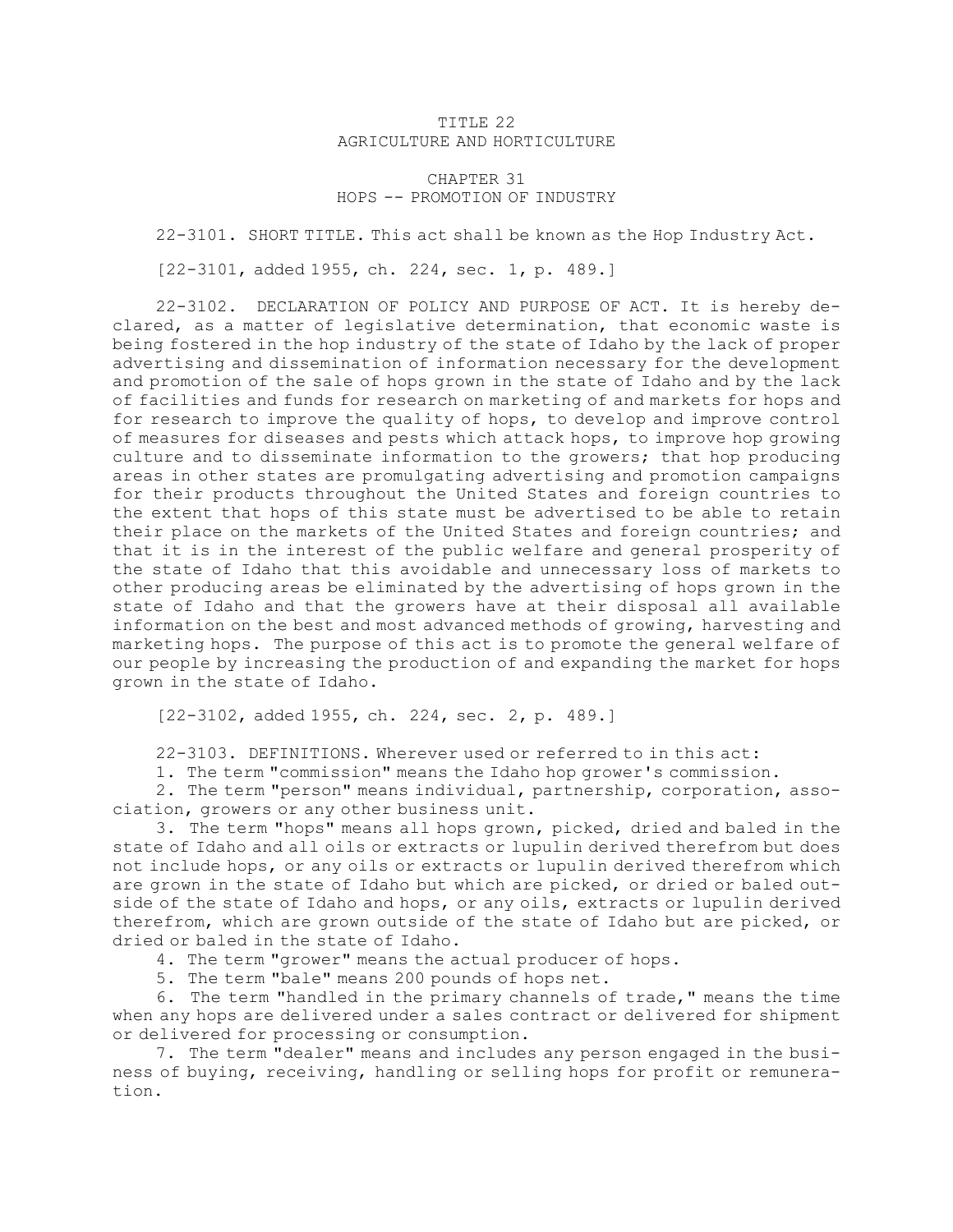## TITLE 22 AGRICULTURE AND HORTICULTURE

## CHAPTER 31 HOPS -- PROMOTION OF INDUSTRY

22-3101. SHORT TITLE. This act shall be known as the Hop Industry Act.

[22-3101, added 1955, ch. 224, sec. 1, p. 489.]

22-3102. DECLARATION OF POLICY AND PURPOSE OF ACT. It is hereby declared, as <sup>a</sup> matter of legislative determination, that economic waste is being fostered in the hop industry of the state of Idaho by the lack of proper advertising and dissemination of information necessary for the development and promotion of the sale of hops grown in the state of Idaho and by the lack of facilities and funds for research on marketing of and markets for hops and for research to improve the quality of hops, to develop and improve control of measures for diseases and pests which attack hops, to improve hop growing culture and to disseminate information to the growers; that hop producing areas in other states are promulgating advertising and promotion campaigns for their products throughout the United States and foreign countries to the extent that hops of this state must be advertised to be able to retain their place on the markets of the United States and foreign countries; and that it is in the interest of the public welfare and general prosperity of the state of Idaho that this avoidable and unnecessary loss of markets to other producing areas be eliminated by the advertising of hops grown in the state of Idaho and that the growers have at their disposal all available information on the best and most advanced methods of growing, harvesting and marketing hops. The purpose of this act is to promote the general welfare of our people by increasing the production of and expanding the market for hops grown in the state of Idaho.

[22-3102, added 1955, ch. 224, sec. 2, p. 489.]

22-3103. DEFINITIONS. Wherever used or referred to in this act:

1. The term "commission" means the Idaho hop grower's commission.

2. The term "person" means individual, partnership, corporation, association, growers or any other business unit.

3. The term "hops" means all hops grown, picked, dried and baled in the state of Idaho and all oils or extracts or lupulin derived therefrom but does not include hops, or any oils or extracts or lupulin derived therefrom which are grown in the state of Idaho but which are picked, or dried or baled outside of the state of Idaho and hops, or any oils, extracts or lupulin derived therefrom, which are grown outside of the state of Idaho but are picked, or dried or baled in the state of Idaho.

4. The term "grower" means the actual producer of hops.

5. The term "bale" means 200 pounds of hops net.

6. The term "handled in the primary channels of trade," means the time when any hops are delivered under <sup>a</sup> sales contract or delivered for shipment or delivered for processing or consumption.

7. The term "dealer" means and includes any person engaged in the business of buying, receiving, handling or selling hops for profit or remuneration.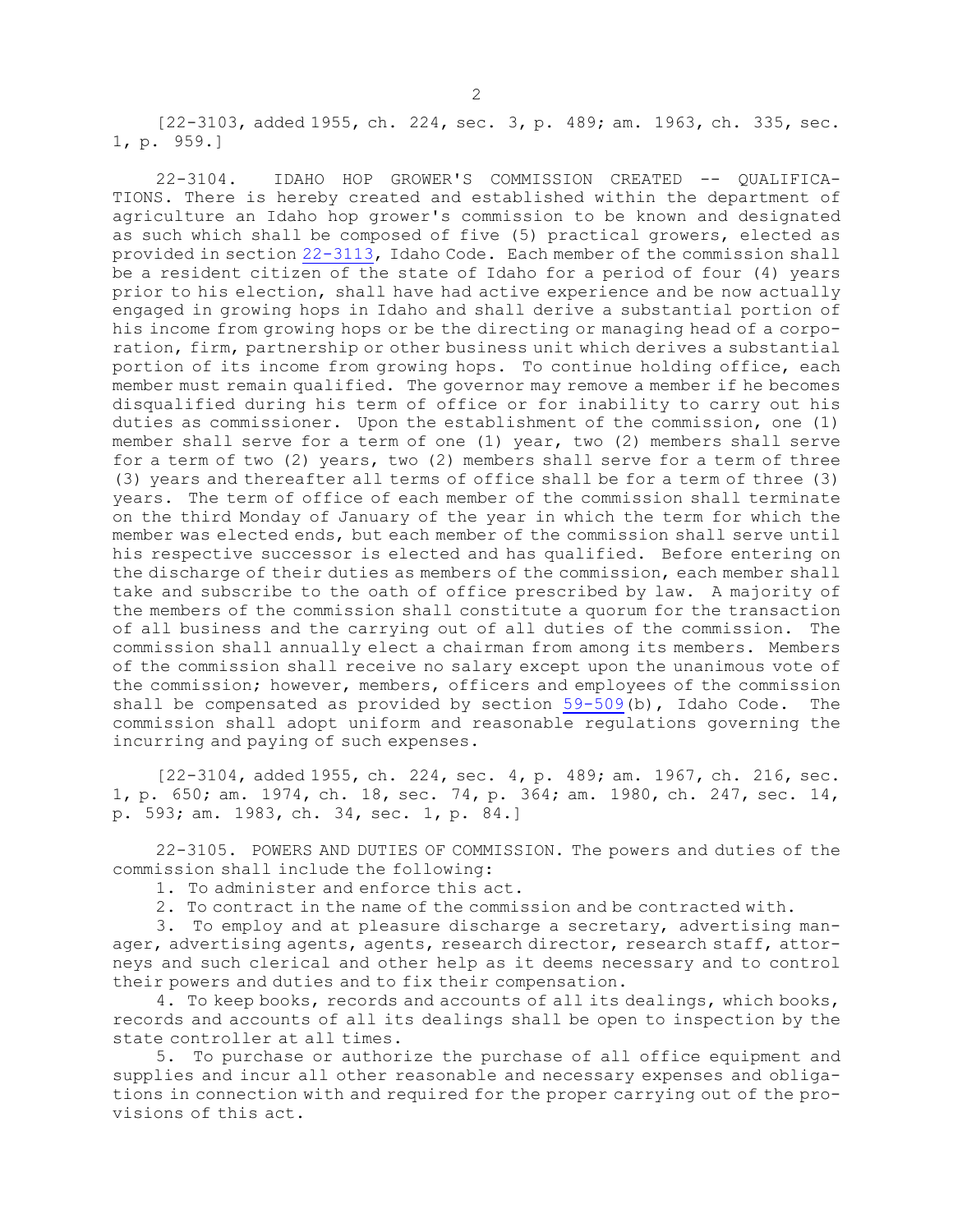[22-3103, added 1955, ch. 224, sec. 3, p. 489; am. 1963, ch. 335, sec. 1, p. 959.]

22-3104. IDAHO HOP GROWER'S COMMISSION CREATED -- QUALIFICA-TIONS. There is hereby created and established within the department of agriculture an Idaho hop grower's commission to be known and designated as such which shall be composed of five (5) practical growers, elected as provided in section [22-3113](https://legislature.idaho.gov/statutesrules/idstat/Title22/T22CH31/SECT22-3113), Idaho Code. Each member of the commission shall be <sup>a</sup> resident citizen of the state of Idaho for <sup>a</sup> period of four (4) years prior to his election, shall have had active experience and be now actually engaged in growing hops in Idaho and shall derive <sup>a</sup> substantial portion of his income from growing hops or be the directing or managing head of <sup>a</sup> corporation, firm, partnership or other business unit which derives <sup>a</sup> substantial portion of its income from growing hops. To continue holding office, each member must remain qualified. The governor may remove <sup>a</sup> member if he becomes disqualified during his term of office or for inability to carry out his duties as commissioner. Upon the establishment of the commission, one (1) member shall serve for <sup>a</sup> term of one (1) year, two (2) members shall serve for <sup>a</sup> term of two (2) years, two (2) members shall serve for <sup>a</sup> term of three (3) years and thereafter all terms of office shall be for <sup>a</sup> term of three (3) years. The term of office of each member of the commission shall terminate on the third Monday of January of the year in which the term for which the member was elected ends, but each member of the commission shall serve until his respective successor is elected and has qualified. Before entering on the discharge of their duties as members of the commission, each member shall take and subscribe to the oath of office prescribed by law. <sup>A</sup> majority of the members of the commission shall constitute <sup>a</sup> quorum for the transaction of all business and the carrying out of all duties of the commission. The commission shall annually elect <sup>a</sup> chairman from among its members. Members of the commission shall receive no salary except upon the unanimous vote of the commission; however, members, officers and employees of the commission shall be compensated as provided by section [59-509](https://legislature.idaho.gov/statutesrules/idstat/Title59/T59CH5/SECT59-509)(b), Idaho Code. The commission shall adopt uniform and reasonable regulations governing the incurring and paying of such expenses.

[22-3104, added 1955, ch. 224, sec. 4, p. 489; am. 1967, ch. 216, sec. 1, p. 650; am. 1974, ch. 18, sec. 74, p. 364; am. 1980, ch. 247, sec. 14, p. 593; am. 1983, ch. 34, sec. 1, p. 84.]

22-3105. POWERS AND DUTIES OF COMMISSION. The powers and duties of the commission shall include the following:

- 1. To administer and enforce this act.
- 2. To contract in the name of the commission and be contracted with.

3. To employ and at pleasure discharge <sup>a</sup> secretary, advertising manager, advertising agents, agents, research director, research staff, attorneys and such clerical and other help as it deems necessary and to control their powers and duties and to fix their compensation.

4. To keep books, records and accounts of all its dealings, which books, records and accounts of all its dealings shall be open to inspection by the state controller at all times.

5. To purchase or authorize the purchase of all office equipment and supplies and incur all other reasonable and necessary expenses and obligations in connection with and required for the proper carrying out of the provisions of this act.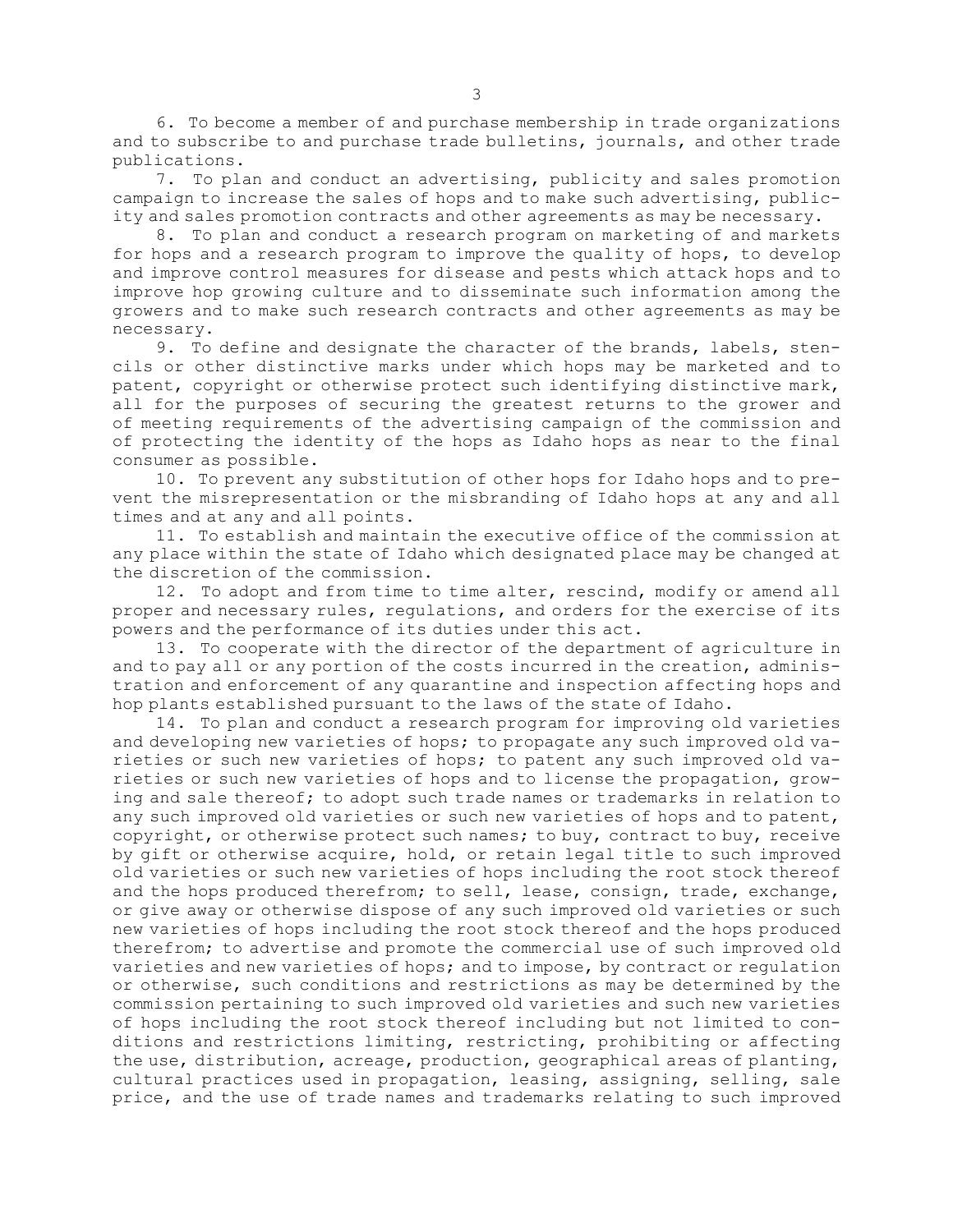6. To become <sup>a</sup> member of and purchase membership in trade organizations and to subscribe to and purchase trade bulletins, journals, and other trade publications.

7. To plan and conduct an advertising, publicity and sales promotion campaign to increase the sales of hops and to make such advertising, publicity and sales promotion contracts and other agreements as may be necessary.

8. To plan and conduct <sup>a</sup> research program on marketing of and markets for hops and <sup>a</sup> research program to improve the quality of hops, to develop and improve control measures for disease and pests which attack hops and to improve hop growing culture and to disseminate such information among the growers and to make such research contracts and other agreements as may be necessary.

9. To define and designate the character of the brands, labels, stencils or other distinctive marks under which hops may be marketed and to patent, copyright or otherwise protect such identifying distinctive mark, all for the purposes of securing the greatest returns to the grower and of meeting requirements of the advertising campaign of the commission and of protecting the identity of the hops as Idaho hops as near to the final consumer as possible.

10. To prevent any substitution of other hops for Idaho hops and to prevent the misrepresentation or the misbranding of Idaho hops at any and all times and at any and all points.

11. To establish and maintain the executive office of the commission at any place within the state of Idaho which designated place may be changed at the discretion of the commission.

12. To adopt and from time to time alter, rescind, modify or amend all proper and necessary rules, regulations, and orders for the exercise of its powers and the performance of its duties under this act.

13. To cooperate with the director of the department of agriculture in and to pay all or any portion of the costs incurred in the creation, administration and enforcement of any quarantine and inspection affecting hops and hop plants established pursuant to the laws of the state of Idaho.

14. To plan and conduct <sup>a</sup> research program for improving old varieties and developing new varieties of hops; to propagate any such improved old varieties or such new varieties of hops; to patent any such improved old varieties or such new varieties of hops and to license the propagation, growing and sale thereof; to adopt such trade names or trademarks in relation to any such improved old varieties or such new varieties of hops and to patent, copyright, or otherwise protect such names; to buy, contract to buy, receive by gift or otherwise acquire, hold, or retain legal title to such improved old varieties or such new varieties of hops including the root stock thereof and the hops produced therefrom; to sell, lease, consign, trade, exchange, or give away or otherwise dispose of any such improved old varieties or such new varieties of hops including the root stock thereof and the hops produced therefrom; to advertise and promote the commercial use of such improved old varieties and new varieties of hops; and to impose, by contract or regulation or otherwise, such conditions and restrictions as may be determined by the commission pertaining to such improved old varieties and such new varieties of hops including the root stock thereof including but not limited to conditions and restrictions limiting, restricting, prohibiting or affecting the use, distribution, acreage, production, geographical areas of planting, cultural practices used in propagation, leasing, assigning, selling, sale price, and the use of trade names and trademarks relating to such improved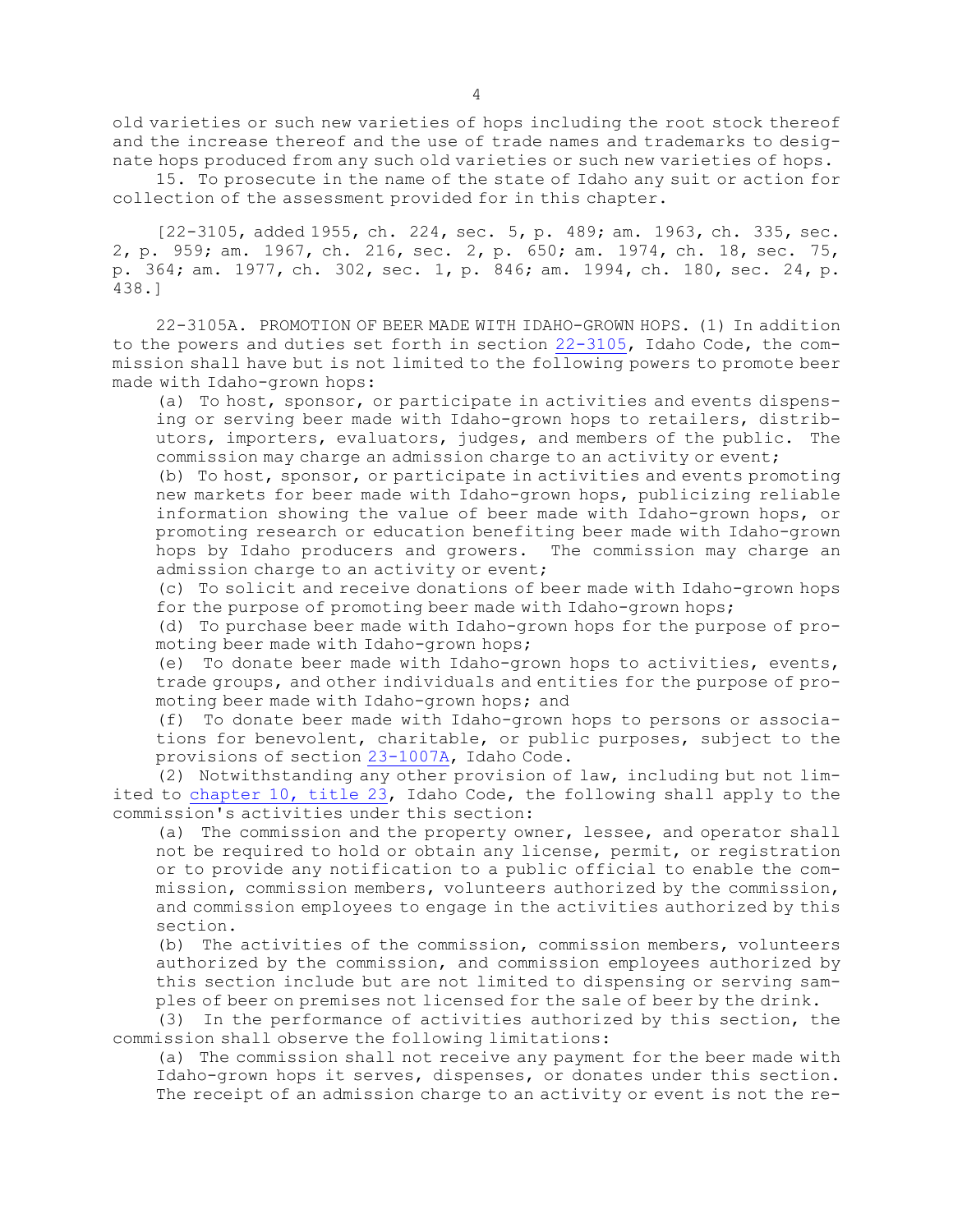old varieties or such new varieties of hops including the root stock thereof and the increase thereof and the use of trade names and trademarks to designate hops produced from any such old varieties or such new varieties of hops.

15. To prosecute in the name of the state of Idaho any suit or action for collection of the assessment provided for in this chapter.

[22-3105, added 1955, ch. 224, sec. 5, p. 489; am. 1963, ch. 335, sec. 2, p. 959; am. 1967, ch. 216, sec. 2, p. 650; am. 1974, ch. 18, sec. 75, p. 364; am. 1977, ch. 302, sec. 1, p. 846; am. 1994, ch. 180, sec. 24, p. 438.]

22-3105A. PROMOTION OF BEER MADE WITH IDAHO-GROWN HOPS. (1) In addition to the powers and duties set forth in section  $22-3105$ , Idaho Code, the commission shall have but is not limited to the following powers to promote beer made with Idaho-grown hops:

(a) To host, sponsor, or participate in activities and events dispensing or serving beer made with Idaho-grown hops to retailers, distributors, importers, evaluators, judges, and members of the public. The commission may charge an admission charge to an activity or event;

(b) To host, sponsor, or participate in activities and events promoting new markets for beer made with Idaho-grown hops, publicizing reliable information showing the value of beer made with Idaho-grown hops, or promoting research or education benefiting beer made with Idaho-grown hops by Idaho producers and growers. The commission may charge an admission charge to an activity or event;

(c) To solicit and receive donations of beer made with Idaho-grown hops for the purpose of promoting beer made with Idaho-grown hops;

(d) To purchase beer made with Idaho-grown hops for the purpose of promoting beer made with Idaho-grown hops;

(e) To donate beer made with Idaho-grown hops to activities, events, trade groups, and other individuals and entities for the purpose of promoting beer made with Idaho-grown hops; and

(f) To donate beer made with Idaho-grown hops to persons or associations for benevolent, charitable, or public purposes, subject to the provisions of section [23-1007A](https://legislature.idaho.gov/statutesrules/idstat/Title23/T23CH10/SECT23-1007A), Idaho Code.

(2) Notwithstanding any other provision of law, including but not limited to [chapter](https://legislature.idaho.gov/statutesrules/idstat/Title23/T23CH10) 10, title 23, Idaho Code, the following shall apply to the commission's activities under this section:

(a) The commission and the property owner, lessee, and operator shall not be required to hold or obtain any license, permit, or registration or to provide any notification to <sup>a</sup> public official to enable the commission, commission members, volunteers authorized by the commission, and commission employees to engage in the activities authorized by this section.

(b) The activities of the commission, commission members, volunteers authorized by the commission, and commission employees authorized by this section include but are not limited to dispensing or serving samples of beer on premises not licensed for the sale of beer by the drink.

(3) In the performance of activities authorized by this section, the commission shall observe the following limitations:

(a) The commission shall not receive any payment for the beer made with Idaho-grown hops it serves, dispenses, or donates under this section. The receipt of an admission charge to an activity or event is not the re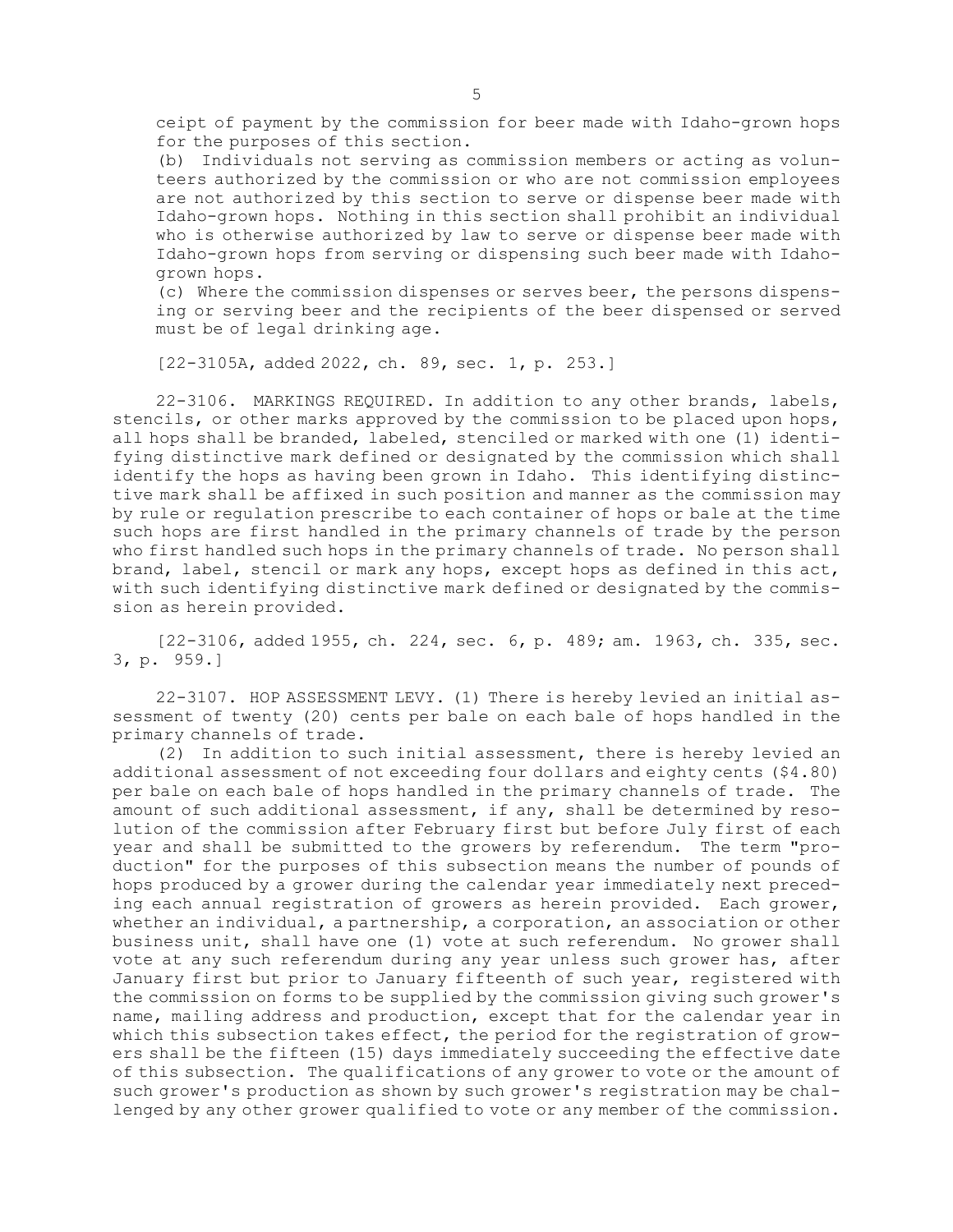ceipt of payment by the commission for beer made with Idaho-grown hops for the purposes of this section.

(b) Individuals not serving as commission members or acting as volunteers authorized by the commission or who are not commission employees are not authorized by this section to serve or dispense beer made with Idaho-grown hops. Nothing in this section shall prohibit an individual who is otherwise authorized by law to serve or dispense beer made with Idaho-grown hops from serving or dispensing such beer made with Idahogrown hops.

(c) Where the commission dispenses or serves beer, the persons dispensing or serving beer and the recipients of the beer dispensed or served must be of legal drinking age.

[22-3105A, added 2022, ch. 89, sec. 1, p. 253.]

22-3106. MARKINGS REQUIRED. In addition to any other brands, labels, stencils, or other marks approved by the commission to be placed upon hops, all hops shall be branded, labeled, stenciled or marked with one (1) identifying distinctive mark defined or designated by the commission which shall identify the hops as having been grown in Idaho. This identifying distinctive mark shall be affixed in such position and manner as the commission may by rule or regulation prescribe to each container of hops or bale at the time such hops are first handled in the primary channels of trade by the person who first handled such hops in the primary channels of trade. No person shall brand, label, stencil or mark any hops, except hops as defined in this act, with such identifying distinctive mark defined or designated by the commission as herein provided.

[22-3106, added 1955, ch. 224, sec. 6, p. 489; am. 1963, ch. 335, sec. 3, p. 959.]

22-3107. HOP ASSESSMENT LEVY. (1) There is hereby levied an initial assessment of twenty (20) cents per bale on each bale of hops handled in the primary channels of trade.

(2) In addition to such initial assessment, there is hereby levied an additional assessment of not exceeding four dollars and eighty cents (\$4.80) per bale on each bale of hops handled in the primary channels of trade. The amount of such additional assessment, if any, shall be determined by resolution of the commission after February first but before July first of each year and shall be submitted to the growers by referendum. The term "production" for the purposes of this subsection means the number of pounds of hops produced by <sup>a</sup> grower during the calendar year immediately next preceding each annual registration of growers as herein provided. Each grower, whether an individual, <sup>a</sup> partnership, <sup>a</sup> corporation, an association or other business unit, shall have one (1) vote at such referendum. No grower shall vote at any such referendum during any year unless such grower has, after January first but prior to January fifteenth of such year, registered with the commission on forms to be supplied by the commission giving such grower's name, mailing address and production, except that for the calendar year in which this subsection takes effect, the period for the registration of growers shall be the fifteen (15) days immediately succeeding the effective date of this subsection. The qualifications of any grower to vote or the amount of such grower's production as shown by such grower's registration may be challenged by any other grower qualified to vote or any member of the commission.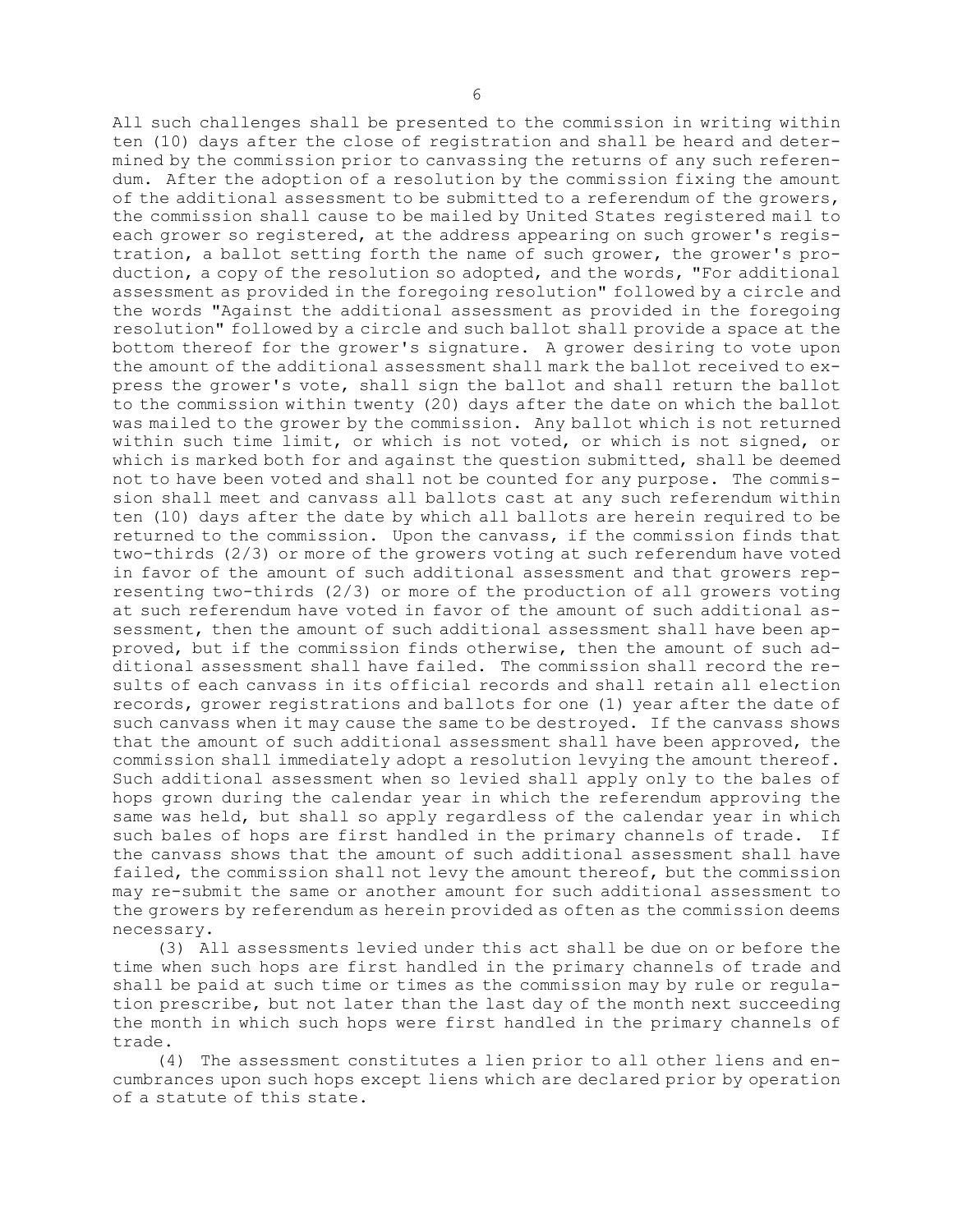All such challenges shall be presented to the commission in writing within ten (10) days after the close of registration and shall be heard and determined by the commission prior to canvassing the returns of any such referendum. After the adoption of <sup>a</sup> resolution by the commission fixing the amount of the additional assessment to be submitted to <sup>a</sup> referendum of the growers, the commission shall cause to be mailed by United States registered mail to each grower so registered, at the address appearing on such grower's registration, <sup>a</sup> ballot setting forth the name of such grower, the grower's production, <sup>a</sup> copy of the resolution so adopted, and the words, "For additional assessment as provided in the foregoing resolution" followed by <sup>a</sup> circle and the words "Against the additional assessment as provided in the foregoing resolution" followed by <sup>a</sup> circle and such ballot shall provide <sup>a</sup> space at the bottom thereof for the grower's signature. <sup>A</sup> grower desiring to vote upon the amount of the additional assessment shall mark the ballot received to express the grower's vote, shall sign the ballot and shall return the ballot to the commission within twenty (20) days after the date on which the ballot was mailed to the grower by the commission. Any ballot which is not returned within such time limit, or which is not voted, or which is not signed, or which is marked both for and against the question submitted, shall be deemed not to have been voted and shall not be counted for any purpose. The commission shall meet and canvass all ballots cast at any such referendum within ten (10) days after the date by which all ballots are herein required to be returned to the commission. Upon the canvass, if the commission finds that two-thirds (2/3) or more of the growers voting at such referendum have voted in favor of the amount of such additional assessment and that growers representing two-thirds (2/3) or more of the production of all growers voting at such referendum have voted in favor of the amount of such additional assessment, then the amount of such additional assessment shall have been approved, but if the commission finds otherwise, then the amount of such additional assessment shall have failed. The commission shall record the results of each canvass in its official records and shall retain all election records, grower registrations and ballots for one (1) year after the date of such canvass when it may cause the same to be destroyed. If the canvass shows that the amount of such additional assessment shall have been approved, the commission shall immediately adopt <sup>a</sup> resolution levying the amount thereof. Such additional assessment when so levied shall apply only to the bales of hops grown during the calendar year in which the referendum approving the same was held, but shall so apply regardless of the calendar year in which such bales of hops are first handled in the primary channels of trade. If the canvass shows that the amount of such additional assessment shall have failed, the commission shall not levy the amount thereof, but the commission may re-submit the same or another amount for such additional assessment to the growers by referendum as herein provided as often as the commission deems necessary.

(3) All assessments levied under this act shall be due on or before the time when such hops are first handled in the primary channels of trade and shall be paid at such time or times as the commission may by rule or regulation prescribe, but not later than the last day of the month next succeeding the month in which such hops were first handled in the primary channels of trade.

(4) The assessment constitutes <sup>a</sup> lien prior to all other liens and encumbrances upon such hops except liens which are declared prior by operation of <sup>a</sup> statute of this state.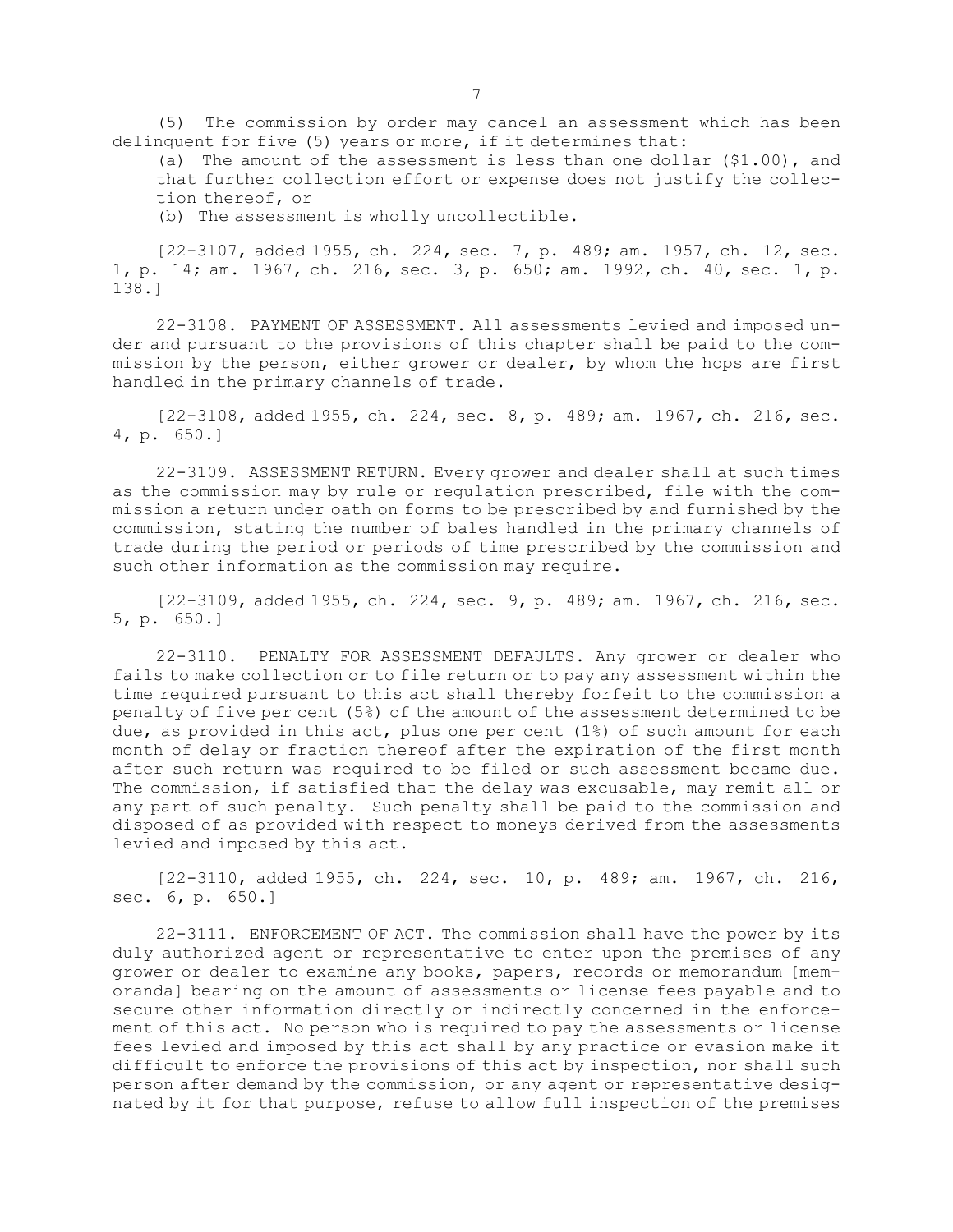(5) The commission by order may cancel an assessment which has been delinquent for five (5) years or more, if it determines that:

(a) The amount of the assessment is less than one dollar  $($1.00)$ , and that further collection effort or expense does not justify the collection thereof, or

(b) The assessment is wholly uncollectible.

[22-3107, added 1955, ch. 224, sec. 7, p. 489; am. 1957, ch. 12, sec. 1, p. 14; am. 1967, ch. 216, sec. 3, p. 650; am. 1992, ch. 40, sec. 1, p. 138.]

22-3108. PAYMENT OF ASSESSMENT. All assessments levied and imposed under and pursuant to the provisions of this chapter shall be paid to the commission by the person, either grower or dealer, by whom the hops are first handled in the primary channels of trade.

[22-3108, added 1955, ch. 224, sec. 8, p. 489; am. 1967, ch. 216, sec. 4, p. 650.]

22-3109. ASSESSMENT RETURN. Every grower and dealer shall at such times as the commission may by rule or regulation prescribed, file with the commission <sup>a</sup> return under oath on forms to be prescribed by and furnished by the commission, stating the number of bales handled in the primary channels of trade during the period or periods of time prescribed by the commission and such other information as the commission may require.

[22-3109, added 1955, ch. 224, sec. 9, p. 489; am. 1967, ch. 216, sec. 5, p. 650.]

22-3110. PENALTY FOR ASSESSMENT DEFAULTS. Any grower or dealer who fails to make collection or to file return or to pay any assessment within the time required pursuant to this act shall thereby forfeit to the commission <sup>a</sup> penalty of five per cent (5%) of the amount of the assessment determined to be due, as provided in this act, plus one per cent (1%) of such amount for each month of delay or fraction thereof after the expiration of the first month after such return was required to be filed or such assessment became due. The commission, if satisfied that the delay was excusable, may remit all or any part of such penalty. Such penalty shall be paid to the commission and disposed of as provided with respect to moneys derived from the assessments levied and imposed by this act.

[22-3110, added 1955, ch. 224, sec. 10, p. 489; am. 1967, ch. 216, sec. 6, p. 650.]

22-3111. ENFORCEMENT OF ACT. The commission shall have the power by its duly authorized agent or representative to enter upon the premises of any grower or dealer to examine any books, papers, records or memorandum [memoranda] bearing on the amount of assessments or license fees payable and to secure other information directly or indirectly concerned in the enforcement of this act. No person who is required to pay the assessments or license fees levied and imposed by this act shall by any practice or evasion make it difficult to enforce the provisions of this act by inspection, nor shall such person after demand by the commission, or any agent or representative designated by it for that purpose, refuse to allow full inspection of the premises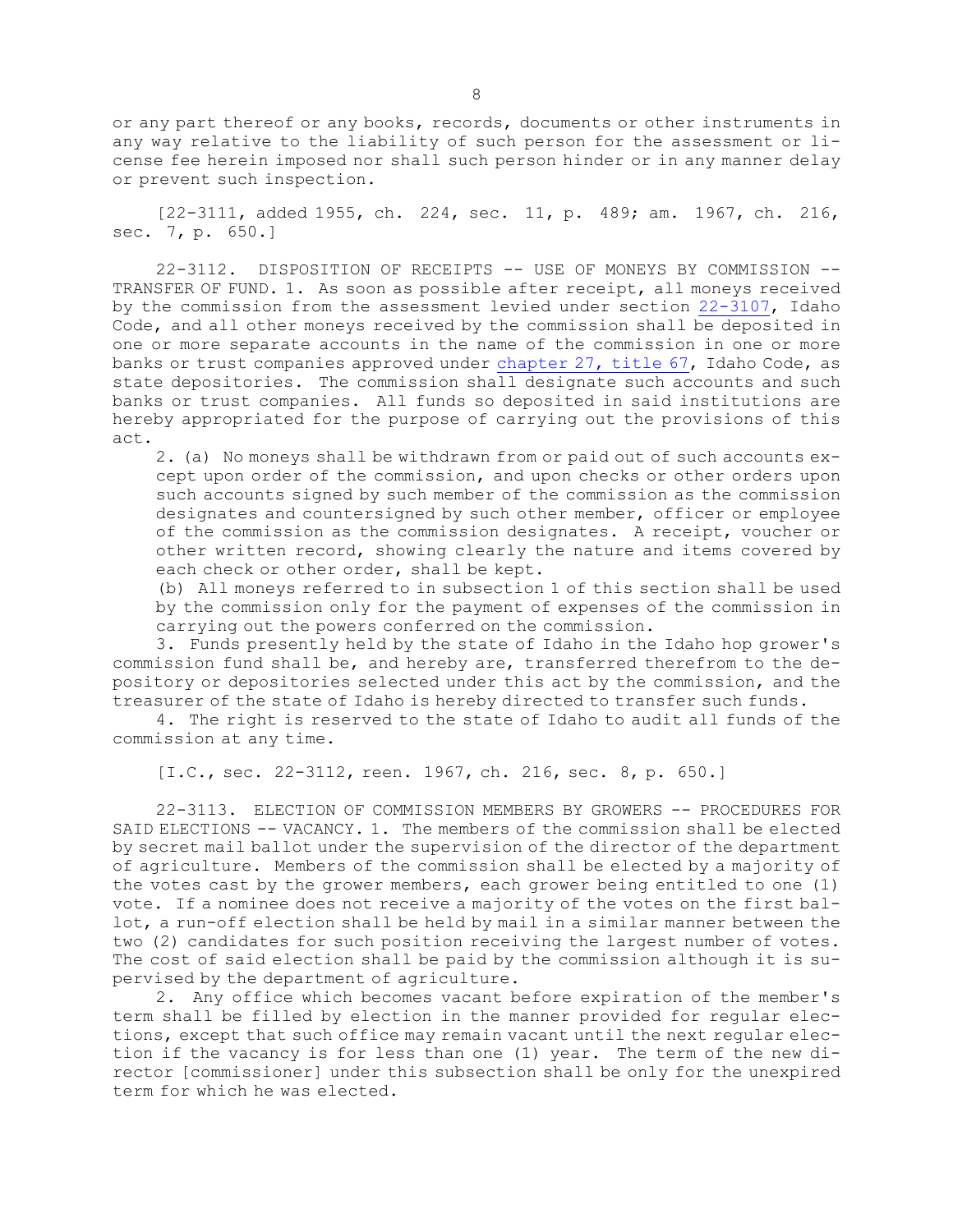or any part thereof or any books, records, documents or other instruments in any way relative to the liability of such person for the assessment or license fee herein imposed nor shall such person hinder or in any manner delay or prevent such inspection.

[22-3111, added 1955, ch. 224, sec. 11, p. 489; am. 1967, ch. 216, sec. 7, p. 650.]

22-3112. DISPOSITION OF RECEIPTS -- USE OF MONEYS BY COMMISSION -- TRANSFER OF FUND. 1. As soon as possible after receipt, all moneys received by the commission from the assessment levied under section [22-3107](https://legislature.idaho.gov/statutesrules/idstat/Title22/T22CH31/SECT22-3107), Idaho Code, and all other moneys received by the commission shall be deposited in one or more separate accounts in the name of the commission in one or more banks or trust companies approved under [chapter](https://legislature.idaho.gov/statutesrules/idstat/Title67/T67CH27) 27, title 67, Idaho Code, as state depositories. The commission shall designate such accounts and such banks or trust companies. All funds so deposited in said institutions are hereby appropriated for the purpose of carrying out the provisions of this act.

2. (a) No moneys shall be withdrawn from or paid out of such accounts except upon order of the commission, and upon checks or other orders upon such accounts signed by such member of the commission as the commission designates and countersigned by such other member, officer or employee of the commission as the commission designates. <sup>A</sup> receipt, voucher or other written record, showing clearly the nature and items covered by each check or other order, shall be kept.

(b) All moneys referred to in subsection 1 of this section shall be used by the commission only for the payment of expenses of the commission in carrying out the powers conferred on the commission.

3. Funds presently held by the state of Idaho in the Idaho hop grower's commission fund shall be, and hereby are, transferred therefrom to the depository or depositories selected under this act by the commission, and the treasurer of the state of Idaho is hereby directed to transfer such funds.

4. The right is reserved to the state of Idaho to audit all funds of the commission at any time.

[I.C., sec. 22-3112, reen. 1967, ch. 216, sec. 8, p. 650.]

22-3113. ELECTION OF COMMISSION MEMBERS BY GROWERS -- PROCEDURES FOR SAID ELECTIONS -- VACANCY. 1. The members of the commission shall be elected by secret mail ballot under the supervision of the director of the department of agriculture. Members of the commission shall be elected by <sup>a</sup> majority of the votes cast by the grower members, each grower being entitled to one (1) vote. If <sup>a</sup> nominee does not receive <sup>a</sup> majority of the votes on the first ballot, <sup>a</sup> run-off election shall be held by mail in <sup>a</sup> similar manner between the two (2) candidates for such position receiving the largest number of votes. The cost of said election shall be paid by the commission although it is supervised by the department of agriculture.

2. Any office which becomes vacant before expiration of the member's term shall be filled by election in the manner provided for regular elections, except that such office may remain vacant until the next regular election if the vacancy is for less than one (1) year. The term of the new director [commissioner] under this subsection shall be only for the unexpired term for which he was elected.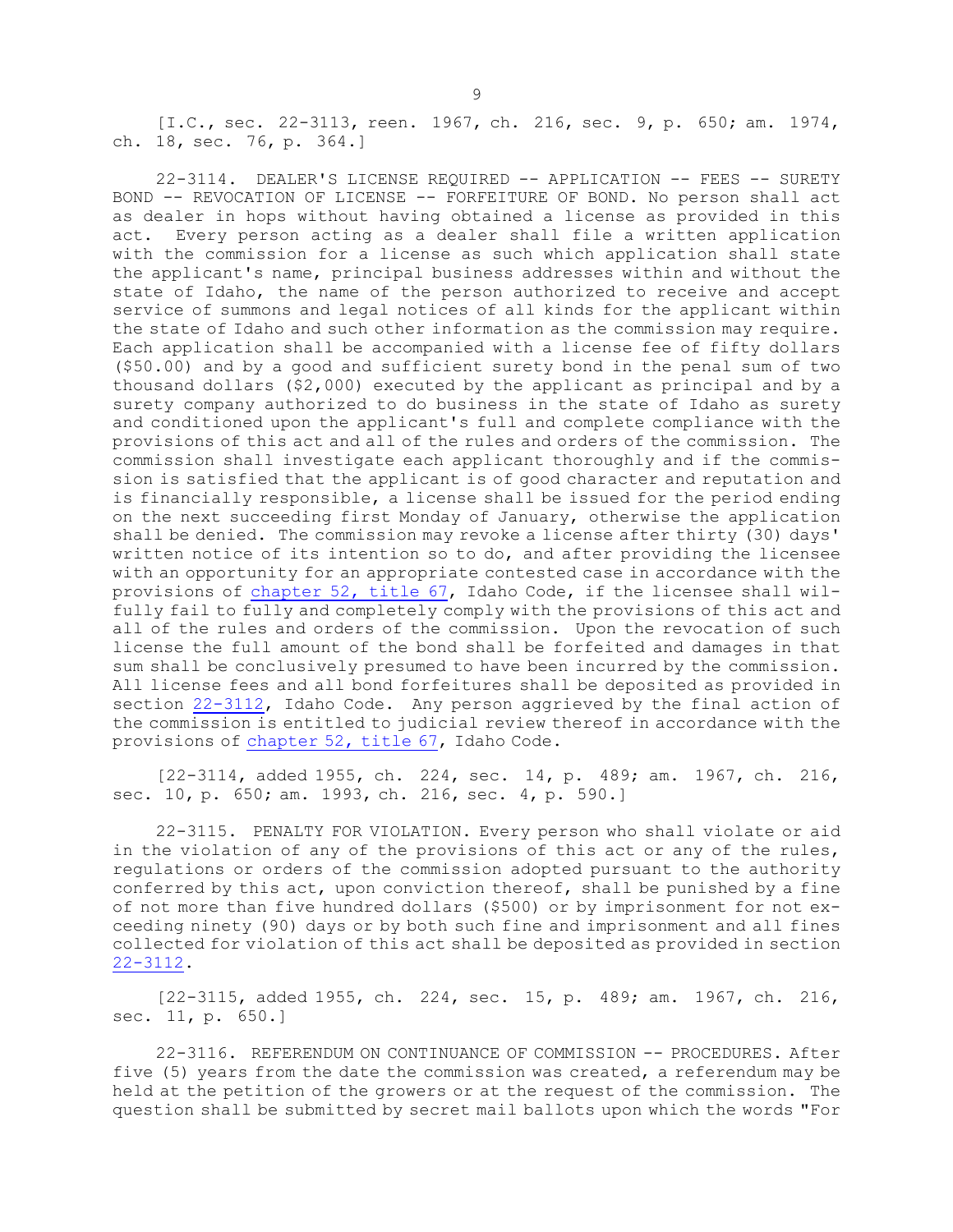[I.C., sec. 22-3113, reen. 1967, ch. 216, sec. 9, p. 650; am. 1974, ch. 18, sec. 76, p. 364.]

22-3114. DEALER'S LICENSE REQUIRED -- APPLICATION -- FEES -- SURETY BOND -- REVOCATION OF LICENSE -- FORFEITURE OF BOND. No person shall act as dealer in hops without having obtained <sup>a</sup> license as provided in this act. Every person acting as <sup>a</sup> dealer shall file <sup>a</sup> written application with the commission for <sup>a</sup> license as such which application shall state the applicant's name, principal business addresses within and without the state of Idaho, the name of the person authorized to receive and accept service of summons and legal notices of all kinds for the applicant within the state of Idaho and such other information as the commission may require. Each application shall be accompanied with <sup>a</sup> license fee of fifty dollars (\$50.00) and by <sup>a</sup> good and sufficient surety bond in the penal sum of two thousand dollars (\$2,000) executed by the applicant as principal and by <sup>a</sup> surety company authorized to do business in the state of Idaho as surety and conditioned upon the applicant's full and complete compliance with the provisions of this act and all of the rules and orders of the commission. The commission shall investigate each applicant thoroughly and if the commission is satisfied that the applicant is of good character and reputation and is financially responsible, <sup>a</sup> license shall be issued for the period ending on the next succeeding first Monday of January, otherwise the application shall be denied. The commission may revoke <sup>a</sup> license after thirty (30) days' written notice of its intention so to do, and after providing the licensee with an opportunity for an appropriate contested case in accordance with the provisions of [chapter](https://legislature.idaho.gov/statutesrules/idstat/Title67/T67CH52) 52, title 67, Idaho Code, if the licensee shall wilfully fail to fully and completely comply with the provisions of this act and all of the rules and orders of the commission. Upon the revocation of such license the full amount of the bond shall be forfeited and damages in that sum shall be conclusively presumed to have been incurred by the commission. All license fees and all bond forfeitures shall be deposited as provided in section [22-3112](https://legislature.idaho.gov/statutesrules/idstat/Title22/T22CH31/SECT22-3112), Idaho Code. Any person aggrieved by the final action of the commission is entitled to judicial review thereof in accordance with the provisions of [chapter](https://legislature.idaho.gov/statutesrules/idstat/Title67/T67CH52) 52, title 67, Idaho Code.

[22-3114, added 1955, ch. 224, sec. 14, p. 489; am. 1967, ch. 216, sec. 10, p. 650; am. 1993, ch. 216, sec. 4, p. 590.]

22-3115. PENALTY FOR VIOLATION. Every person who shall violate or aid in the violation of any of the provisions of this act or any of the rules, regulations or orders of the commission adopted pursuant to the authority conferred by this act, upon conviction thereof, shall be punished by <sup>a</sup> fine of not more than five hundred dollars (\$500) or by imprisonment for not exceeding ninety (90) days or by both such fine and imprisonment and all fines collected for violation of this act shall be deposited as provided in section [22-3112](https://legislature.idaho.gov/statutesrules/idstat/Title22/T22CH31/SECT22-3112).

[22-3115, added 1955, ch. 224, sec. 15, p. 489; am. 1967, ch. 216, sec. 11, p. 650.]

22-3116. REFERENDUM ON CONTINUANCE OF COMMISSION -- PROCEDURES. After five (5) years from the date the commission was created, <sup>a</sup> referendum may be held at the petition of the growers or at the request of the commission. The question shall be submitted by secret mail ballots upon which the words "For